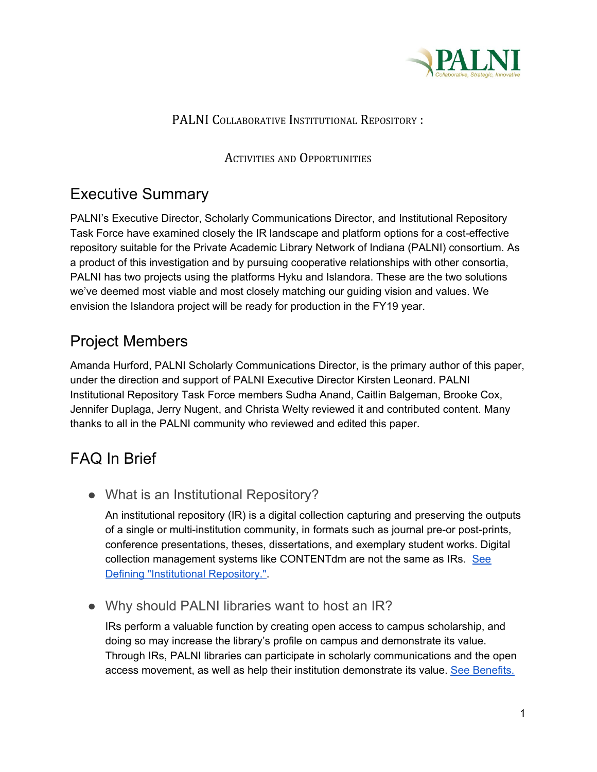

#### PALNI COLLABORATIVE INSTITUTIONAL REPOSITORY :

ACTIVITIES AND OPPORTUNITIES

## Executive Summary

PALNI's Executive Director, Scholarly Communications Director, and Institutional Repository Task Force have examined closely the IR landscape and platform options for a cost-effective repository suitable for the Private Academic Library Network of Indiana (PALNI) consortium. As a product of this investigation and by pursuing cooperative relationships with other consortia, PALNI has two projects using the platforms Hyku and Islandora. These are the two solutions we've deemed most viable and most closely matching our guiding vision and values. We envision the Islandora project will be ready for production in the FY19 year.

# Project Members

Amanda Hurford, PALNI Scholarly Communications Director, is the primary author of this paper, under the direction and support of PALNI Executive Director Kirsten Leonard. PALNI Institutional Repository Task Force members Sudha Anand, Caitlin Balgeman, Brooke Cox, Jennifer Duplaga, Jerry Nugent, and Christa Welty reviewed it and contributed content. Many thanks to all in the PALNI community who reviewed and edited this paper.

# FAQ In Brief

● What is an Institutional Repository?

An institutional repository (IR) is a digital collection capturing and preserving the outputs of a single or multi-institution community, in formats such as journal pre-or post-prints, conference presentations, theses, dissertations, and exemplary student works. Digital collection management systems like CONTENTdm are not the same as IRs. [See](#page-2-0) Defining "Institutional Repository."

• Why should PALNI libraries want to host an IR?

IRs perform a valuable function by creating open access to campus scholarship, and doing so may increase the library's profile on campus and demonstrate its value. Through IRs, PALNI libraries can participate in scholarly communications and the open access movement, as well as help their institution demonstrate its value. See [Benefits.](#page-3-0)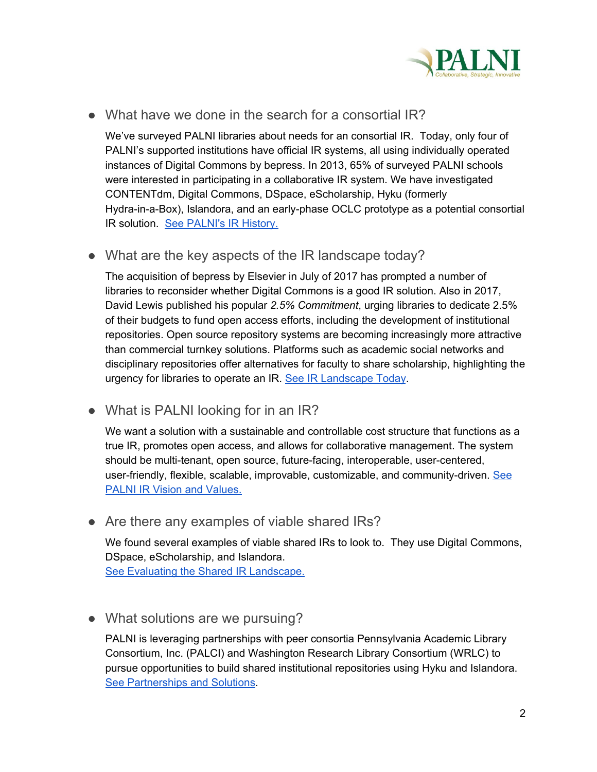

● What have we done in the search for a consortial IR?

We've surveyed PALNI libraries about needs for an consortial IR. Today, only four of PALNI's supported institutions have official IR systems, all using individually operated instances of Digital Commons by bepress. In 2013, 65% of surveyed PALNI schools were interested in participating in a collaborative IR system. We have investigated CONTENTdm, Digital Commons, DSpace, eScholarship, Hyku (formerly Hydra-in-a-Box), Islandora, and an early-phase OCLC prototype as a potential consortial IR solution. See [PALNI's](#page-4-0) IR History.

• What are the key aspects of the IR landscape today?

The acquisition of bepress by Elsevier in July of 2017 has prompted a number of libraries to reconsider whether Digital Commons is a good IR solution. Also in 2017, David Lewis published his popular *2.5% Commitment*, urging libraries to dedicate 2.5% of their budgets to fund open access efforts, including the development of institutional repositories. Open source repository systems are becoming increasingly more attractive than commercial turnkey solutions. Platforms such as academic social networks and disciplinary repositories offer alternatives for faculty to share scholarship, highlighting the urgency for libraries to operate an IR. See IR [Landscape](#page-5-0) Today.

• What is PALNI looking for in an IR?

We want a solution with a sustainable and controllable cost structure that functions as a true IR, promotes open access, and allows for collaborative management. The system should be multi-tenant, open source, future-facing, interoperable, user-centered, user-friendly, flexible, scalable, improvable, customizable, and community-driven. [See](#page-6-0) PALNI IR Vision and [Values.](#page-6-0)

• Are there any examples of viable shared IRs?

We found several examples of viable shared IRs to look to. They use Digital Commons, DSpace, eScholarship, and Islandora. See Evaluating the Shared IR [Landscape.](#page-7-0)

• What solutions are we pursuing?

PALNI is leveraging partnerships with peer consortia Pennsylvania Academic Library Consortium, Inc. (PALCI) and Washington Research Library Consortium (WRLC) to pursue opportunities to build shared institutional repositories using Hyku and Islandora. See [Partnerships](#page-8-0) and Solutions.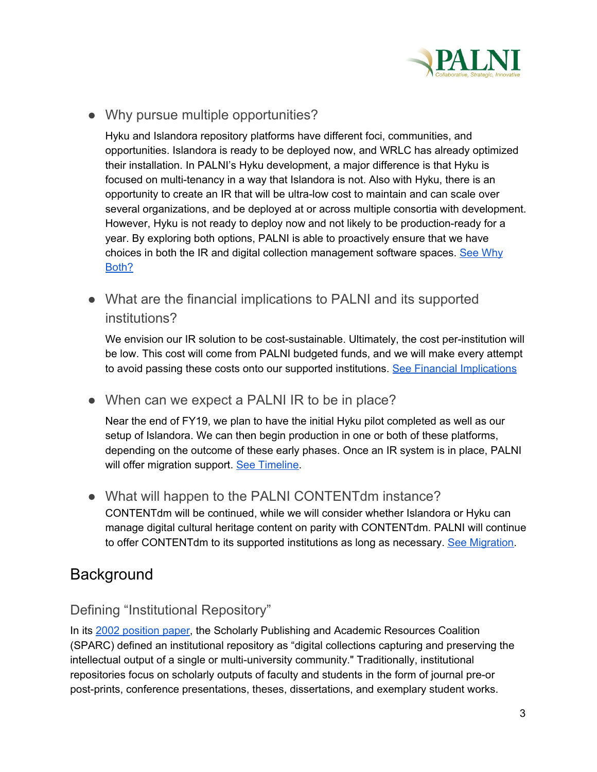

• Why pursue multiple opportunities?

Hyku and Islandora repository platforms have different foci, communities, and opportunities. Islandora is ready to be deployed now, and WRLC has already optimized their installation. In PALNI's Hyku development, a major difference is that Hyku is focused on multi-tenancy in a way that Islandora is not. Also with Hyku, there is an opportunity to create an IR that will be ultra-low cost to maintain and can scale over several organizations, and be deployed at or across multiple consortia with development. However, Hyku is not ready to deploy now and not likely to be production-ready for a year. By exploring both options, PALNI is able to proactively ensure that we have choices in both the IR and digital collection management software spaces. See [Why](#page-10-0) [Both?](#page-10-0)

• What are the financial implications to PALNI and its supported institutions?

We envision our IR solution to be cost-sustainable. Ultimately, the cost per-institution will be low. This cost will come from PALNI budgeted funds, and we will make every attempt to avoid passing these costs onto our supported institutions. See Financial [Implications](#page-10-1)

• When can we expect a PALNI IR to be in place?

Near the end of FY19, we plan to have the initial Hyku pilot completed as well as our setup of Islandora. We can then begin production in one or both of these platforms, depending on the outcome of these early phases. Once an IR system is in place, PALNI will offer migration support. See [Timeline.](#page-11-0)

• What will happen to the PALNI CONTENTdm instance? CONTENTdm will be continued, while we will consider whether Islandora or Hyku can manage digital cultural heritage content on parity with CONTENTdm. PALNI will continue to offer CONTENTdm to its supported institutions as long as necessary. See [Migration](#page-11-1).

## **Background**

#### <span id="page-2-0"></span>Defining "Institutional Repository"

In its 2002 [position](http://www.sparc.arl.org/sites/default/files/media_files/instrepo.pdf) paper, the Scholarly Publishing and Academic Resources Coalition (SPARC) defined an institutional repository as "digital collections capturing and preserving the intellectual output of a single or multi-university community." Traditionally, institutional repositories focus on scholarly outputs of faculty and students in the form of journal pre-or post-prints, conference presentations, theses, dissertations, and exemplary student works.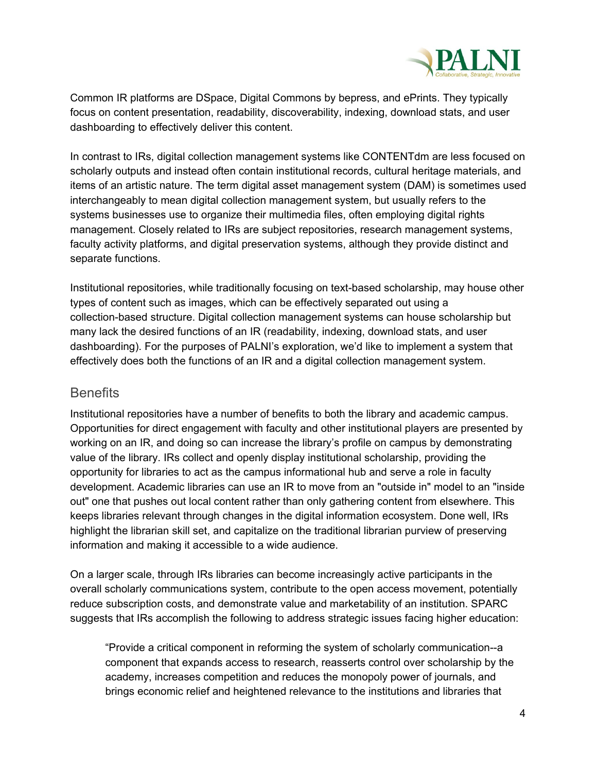

Common IR platforms are DSpace, Digital Commons by bepress, and ePrints. They typically focus on content presentation, readability, discoverability, indexing, download stats, and user dashboarding to effectively deliver this content.

In contrast to IRs, digital collection management systems like CONTENTdm are less focused on scholarly outputs and instead often contain institutional records, cultural heritage materials, and items of an artistic nature. The term digital asset management system (DAM) is sometimes used interchangeably to mean digital collection management system, but usually refers to the systems businesses use to organize their multimedia files, often employing digital rights management. Closely related to IRs are subject repositories, research management systems, faculty activity platforms, and digital preservation systems, although they provide distinct and separate functions.

Institutional repositories, while traditionally focusing on text-based scholarship, may house other types of content such as images, which can be effectively separated out using a collection-based structure. Digital collection management systems can house scholarship but many lack the desired functions of an IR (readability, indexing, download stats, and user dashboarding). For the purposes of PALNI's exploration, we'd like to implement a system that effectively does both the functions of an IR and a digital collection management system.

#### <span id="page-3-0"></span>**Benefits**

Institutional repositories have a number of benefits to both the library and academic campus. Opportunities for direct engagement with faculty and other institutional players are presented by working on an IR, and doing so can increase the library's profile on campus by demonstrating value of the library. IRs collect and openly display institutional scholarship, providing the opportunity for libraries to act as the campus informational hub and serve a role in faculty development. Academic libraries can use an IR to move from an "outside in" model to an "inside out" one that pushes out local content rather than only gathering content from elsewhere. This keeps libraries relevant through changes in the digital information ecosystem. Done well, IRs highlight the librarian skill set, and capitalize on the traditional librarian purview of preserving information and making it accessible to a wide audience.

On a larger scale, through IRs libraries can become increasingly active participants in the overall scholarly communications system, contribute to the open access movement, potentially reduce subscription costs, and demonstrate value and marketability of an institution. SPARC suggests that IRs accomplish the following to address strategic issues facing higher education:

"Provide a critical component in reforming the system of scholarly communication--a component that expands access to research, reasserts control over scholarship by the academy, increases competition and reduces the monopoly power of journals, and brings economic relief and heightened relevance to the institutions and libraries that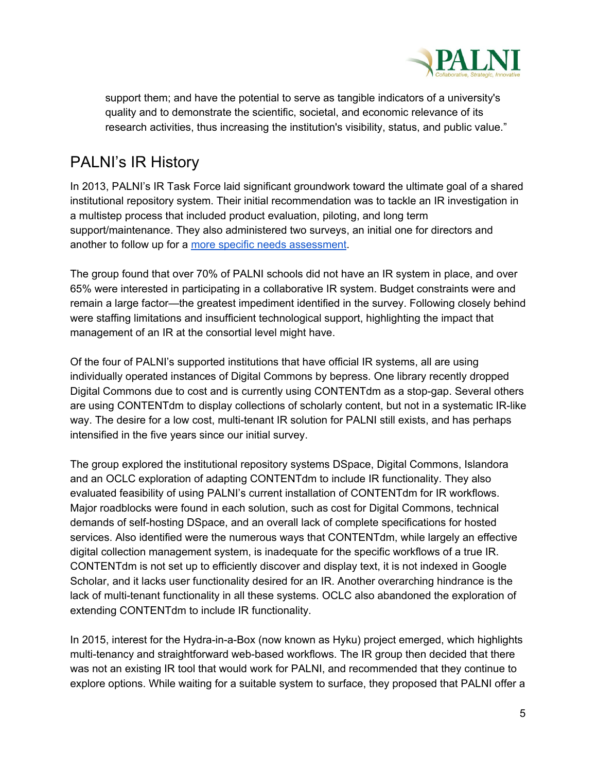

support them; and have the potential to serve as tangible indicators of a university's quality and to demonstrate the scientific, societal, and economic relevance of its research activities, thus increasing the institution's visibility, status, and public value."

# <span id="page-4-0"></span>PALNI's IR History

In 2013, PALNI's IR Task Force laid significant groundwork toward the ultimate goal of a shared institutional repository system. Their initial recommendation was to tackle an IR investigation in a multistep process that included product evaluation, piloting, and long term support/maintenance. They also administered two surveys, an initial one for directors and another to follow up for a more specific needs [assessment.](https://earlham.az1.qualtrics.com/WRReport/?RPID=RP2_3ZTzkFnUVNny0Dz&P=CP)

The group found that over 70% of PALNI schools did not have an IR system in place, and over 65% were interested in participating in a collaborative IR system. Budget constraints were and remain a large factor—the greatest impediment identified in the survey. Following closely behind were staffing limitations and insufficient technological support, highlighting the impact that management of an IR at the consortial level might have.

Of the four of PALNI's supported institutions that have official IR systems, all are using individually operated instances of Digital Commons by bepress. One library recently dropped Digital Commons due to cost and is currently using CONTENTdm as a stop-gap. Several others are using CONTENTdm to display collections of scholarly content, but not in a systematic IR-like way. The desire for a low cost, multi-tenant IR solution for PALNI still exists, and has perhaps intensified in the five years since our initial survey.

The group explored the institutional repository systems DSpace, Digital Commons, Islandora and an OCLC exploration of adapting CONTENTdm to include IR functionality. They also evaluated feasibility of using PALNI's current installation of CONTENTdm for IR workflows. Major roadblocks were found in each solution, such as cost for Digital Commons, technical demands of self-hosting DSpace, and an overall lack of complete specifications for hosted services. Also identified were the numerous ways that CONTENTdm, while largely an effective digital collection management system, is inadequate for the specific workflows of a true IR. CONTENTdm is not set up to efficiently discover and display text, it is not indexed in Google Scholar, and it lacks user functionality desired for an IR. Another overarching hindrance is the lack of multi-tenant functionality in all these systems. OCLC also abandoned the exploration of extending CONTENTdm to include IR functionality.

In 2015, interest for the Hydra-in-a-Box (now known as Hyku) project emerged, which highlights multi-tenancy and straightforward web-based workflows. The IR group then decided that there was not an existing IR tool that would work for PALNI, and recommended that they continue to explore options. While waiting for a suitable system to surface, they proposed that PALNI offer a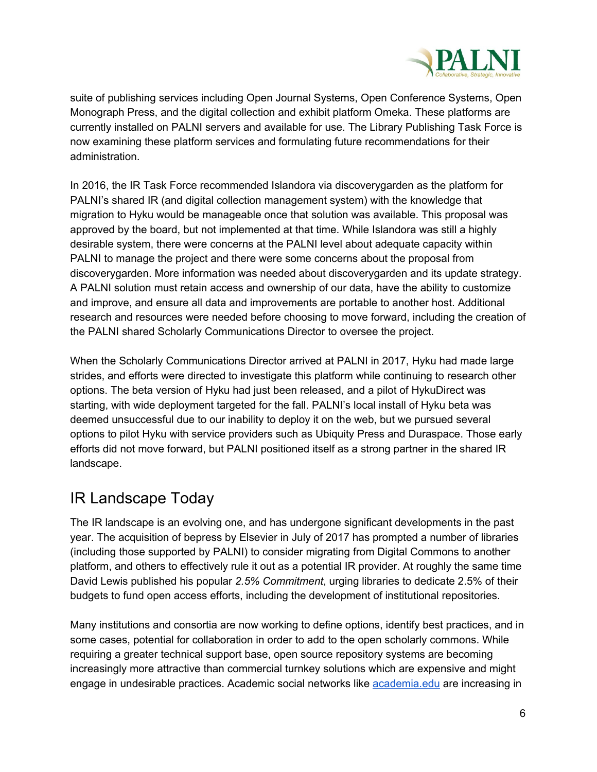

suite of publishing services including Open Journal Systems, Open Conference Systems, Open Monograph Press, and the digital collection and exhibit platform Omeka. These platforms are currently installed on PALNI servers and available for use. The Library Publishing Task Force is now examining these platform services and formulating future recommendations for their administration.

In 2016, the IR Task Force recommended Islandora via discoverygarden as the platform for PALNI's shared IR (and digital collection management system) with the knowledge that migration to Hyku would be manageable once that solution was available. This proposal was approved by the board, but not implemented at that time. While Islandora was still a highly desirable system, there were concerns at the PALNI level about adequate capacity within PALNI to manage the project and there were some concerns about the proposal from discoverygarden. More information was needed about discoverygarden and its update strategy. A PALNI solution must retain access and ownership of our data, have the ability to customize and improve, and ensure all data and improvements are portable to another host. Additional research and resources were needed before choosing to move forward, including the creation of the PALNI shared Scholarly Communications Director to oversee the project.

When the Scholarly Communications Director arrived at PALNI in 2017, Hyku had made large strides, and efforts were directed to investigate this platform while continuing to research other options. The beta version of Hyku had just been released, and a pilot of HykuDirect was starting, with wide deployment targeted for the fall. PALNI's local install of Hyku beta was deemed unsuccessful due to our inability to deploy it on the web, but we pursued several options to pilot Hyku with service providers such as Ubiquity Press and Duraspace. Those early efforts did not move forward, but PALNI positioned itself as a strong partner in the shared IR landscape.

## <span id="page-5-0"></span>IR Landscape Today

The IR landscape is an evolving one, and has undergone significant developments in the past year. The acquisition of bepress by Elsevier in July of 2017 has prompted a number of libraries (including those supported by PALNI) to consider migrating from Digital Commons to another platform, and others to effectively rule it out as a potential IR provider. At roughly the same time David Lewis published his popular *2.5% Commitment*, urging libraries to dedicate 2.5% of their budgets to fund open access efforts, including the development of institutional repositories.

Many institutions and consortia are now working to define options, identify best practices, and in some cases, potential for collaboration in order to add to the open scholarly commons. While requiring a greater technical support base, open source repository systems are becoming increasingly more attractive than commercial turnkey solutions which are expensive and might engage in undesirable practices. Academic social networks like [academia.edu](https://www.academia.edu/) are increasing in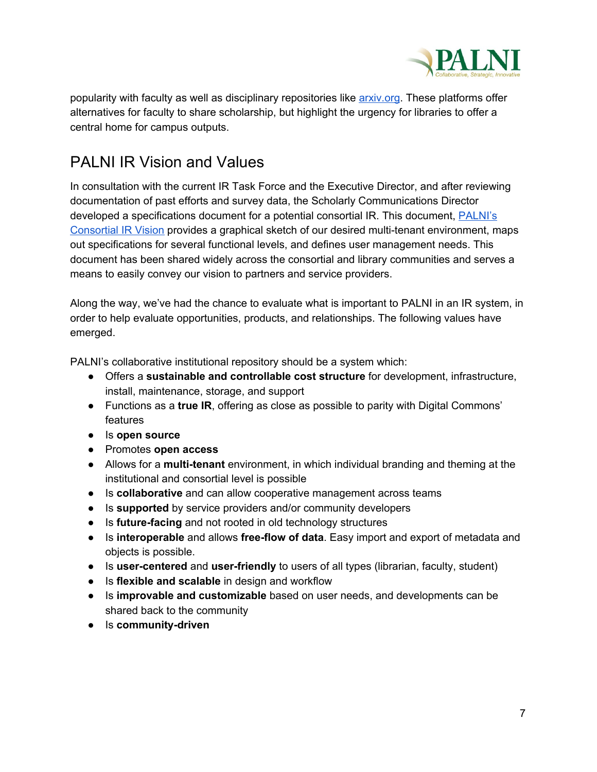

popularity with faculty as well as disciplinary repositories like [arxiv.org](https://arxiv.org/). These platforms offer alternatives for faculty to share scholarship, but highlight the urgency for libraries to offer a central home for campus outputs.

## <span id="page-6-0"></span>PALNI IR Vision and Values

In consultation with the current IR Task Force and the Executive Director, and after reviewing documentation of past efforts and survey data, the Scholarly Communications Director developed a specifications document for a potential consortial IR. This document, [PALNI's](http://www.palni.org/wp-content/uploads/2018/03/PALNI-IR-Vision-2018.pdf) [Consortial](http://www.palni.org/wp-content/uploads/2018/03/PALNI-IR-Vision-2018.pdf) IR Vision provides a graphical sketch of our desired multi-tenant environment, maps out specifications for several functional levels, and defines user management needs. This document has been shared widely across the consortial and library communities and serves a means to easily convey our vision to partners and service providers.

Along the way, we've had the chance to evaluate what is important to PALNI in an IR system, in order to help evaluate opportunities, products, and relationships. The following values have emerged.

PALNI's collaborative institutional repository should be a system which:

- Offers a **sustainable and controllable cost structure** for development, infrastructure, install, maintenance, storage, and support
- Functions as a **true IR**, offering as close as possible to parity with Digital Commons' features
- Is **open source**
- Promotes **open access**
- Allows for a **multi-tenant** environment, in which individual branding and theming at the institutional and consortial level is possible
- Is **collaborative** and can allow cooperative management across teams
- Is **supported** by service providers and/or community developers
- Is **future-facing** and not rooted in old technology structures
- Is **interoperable** and allows **free-flow of data**. Easy import and export of metadata and objects is possible.
- Is **user-centered** and **user-friendly** to users of all types (librarian, faculty, student)
- Is **flexible and scalable** in design and workflow
- Is **improvable and customizable** based on user needs, and developments can be shared back to the community
- Is **community-driven**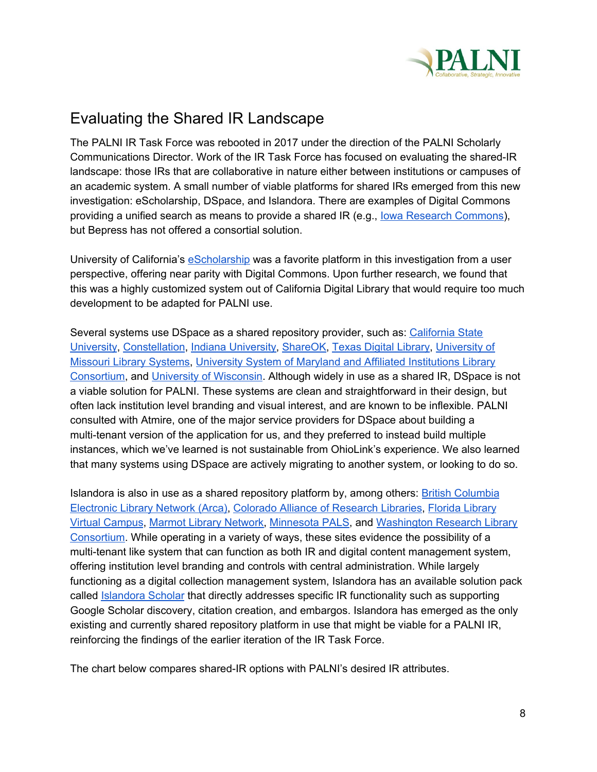

## <span id="page-7-0"></span>Evaluating the Shared IR Landscape

The PALNI IR Task Force was rebooted in 2017 under the direction of the PALNI Scholarly Communications Director. Work of the IR Task Force has focused on evaluating the shared-IR landscape: those IRs that are collaborative in nature either between institutions or campuses of an academic system. A small number of viable platforms for shared IRs emerged from this new investigation: eScholarship, DSpace, and Islandora. There are examples of Digital Commons providing a unified search as means to provide a shared IR (e.g., Iowa Research [Commons\)](https://iowa.researchcommons.org/about.html), but Bepress has not offered a consortial solution.

University of California's [eScholarship](https://escholarship.org/) was a favorite platform in this investigation from a user perspective, offering near parity with Digital Commons. Upon further research, we found that this was a highly customized system out of California Digital Library that would require too much development to be adapted for PALNI use.

Several systems use DSpace as a shared repository provider, such as: [California](http://scholarworks.calstate.edu/) State [University](http://scholarworks.calstate.edu/), [Constellation,](https://constellation.libras.org/) Indiana [University,](https://scholarworks.iu.edu/dspace/) [ShareOK](https://shareok.org/), Texas Digital [Library](https://www.tdl.org/repositories/), [University](https://mospace.umsystem.edu/xmlui/) of Missouri Library [Systems,](https://mospace.umsystem.edu/xmlui/) University System of Maryland and Affiliated [Institutions](https://mdsoar.org/) Library [Consortium](https://mdsoar.org/), and University of [Wisconsin](https://minds.wisconsin.edu/). Although widely in use as a shared IR, DSpace is not a viable solution for PALNI. These systems are clean and straightforward in their design, but often lack institution level branding and visual interest, and are known to be inflexible. PALNI consulted with Atmire, one of the major service providers for DSpace about building a multi-tenant version of the application for us, and they preferred to instead build multiple instances, which we've learned is not sustainable from OhioLink's experience. We also learned that many systems using DSpace are actively migrating to another system, or looking to do so.

Islandora is also in use as a shared repository platform by, among others: **British [Columbia](http://arcabc.ca/)** [Electronic](http://arcabc.ca/) Library Network (Arca), Colorado Alliance of [Research](https://www.coalliance.org/software/digital-repository/technology-infrastructure) Libraries, Florida [Library](https://islandora.pubwiki.fcla.edu/wiki/index.php/Islandora_FLVC#Current_Islandora_sites) Virtual [Campus](https://islandora.pubwiki.fcla.edu/wiki/index.php/Islandora_FLVC#Current_Islandora_sites), Marmot Library [Network,](https://www.marmot.org/pika-discovery/digital-archive) [Minnesota](https://www.mnpals.org/services/islandora/) PALS, and [Washington](https://islandora.wrlc.org/) Research Library [Consortium](https://islandora.wrlc.org/). While operating in a variety of ways, these sites evidence the possibility of a multi-tenant like system that can function as both IR and digital content management system, offering institution level branding and controls with central administration. While largely functioning as a digital collection management system, Islandora has an available solution pack called [Islandora](https://wiki.duraspace.org/display/ISLANDORA/Islandora+Scholar) Scholar that directly addresses specific IR functionality such as supporting Google Scholar discovery, citation creation, and embargos. Islandora has emerged as the only existing and currently shared repository platform in use that might be viable for a PALNI IR, reinforcing the findings of the earlier iteration of the IR Task Force.

The chart below compares shared-IR options with PALNI's desired IR attributes.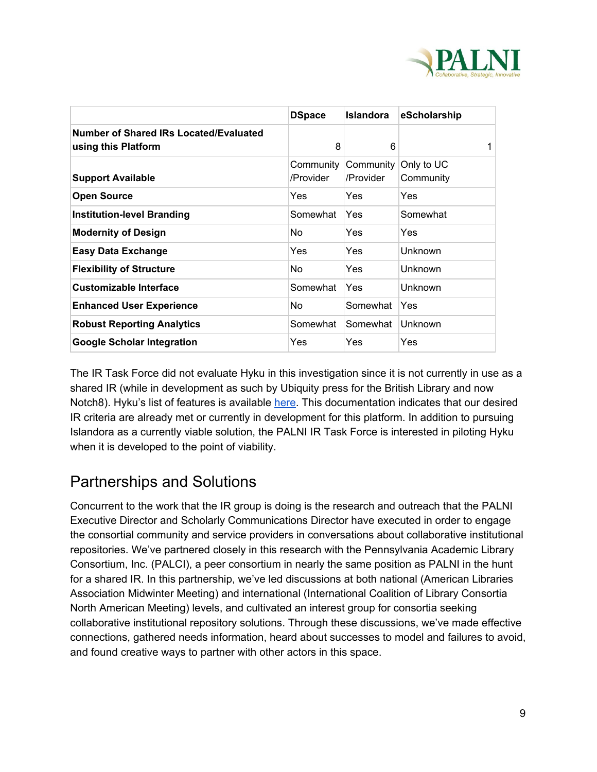

|                                                               | <b>DSpace</b>          | <b>Islandora</b>       | eScholarship            |
|---------------------------------------------------------------|------------------------|------------------------|-------------------------|
| Number of Shared IRs Located/Evaluated<br>using this Platform | 8                      | 6                      |                         |
| <b>Support Available</b>                                      | Community<br>/Provider | Community<br>/Provider | Only to UC<br>Community |
| <b>Open Source</b>                                            | Yes                    | Yes                    | Yes                     |
| <b>Institution-level Branding</b>                             | Somewhat               | Yes                    | Somewhat                |
| <b>Modernity of Design</b>                                    | No.                    | Yes                    | Yes                     |
| <b>Easy Data Exchange</b>                                     | Yes                    | Yes.                   | Unknown                 |
| <b>Flexibility of Structure</b>                               | No.                    | <b>Yes</b>             | Unknown                 |
| <b>Customizable Interface</b>                                 | Somewhat               | <b>Yes</b>             | Unknown                 |
| <b>Enhanced User Experience</b>                               | No.                    | Somewhat               | Yes                     |
| <b>Robust Reporting Analytics</b>                             | Somewhat               | Somewhat               | Unknown                 |
| <b>Google Scholar Integration</b>                             | Yes                    | Yes                    | Yes                     |

The IR Task Force did not evaluate Hyku in this investigation since it is not currently in use as a shared IR (while in development as such by Ubiquity press for the British Library and now Notch8). Hyku's list of features is available [here.](https://wiki.duraspace.org/display/hyku/Hyku+Features#HykuFeatures-ContentOrganization) This documentation indicates that our desired IR criteria are already met or currently in development for this platform. In addition to pursuing Islandora as a currently viable solution, the PALNI IR Task Force is interested in piloting Hyku when it is developed to the point of viability.

## <span id="page-8-0"></span>Partnerships and Solutions

Concurrent to the work that the IR group is doing is the research and outreach that the PALNI Executive Director and Scholarly Communications Director have executed in order to engage the consortial community and service providers in conversations about collaborative institutional repositories. We've partnered closely in this research with the Pennsylvania Academic Library Consortium, Inc. (PALCI), a peer consortium in nearly the same position as PALNI in the hunt for a shared IR. In this partnership, we've led discussions at both national (American Libraries Association Midwinter Meeting) and international (International Coalition of Library Consortia North American Meeting) levels, and cultivated an interest group for consortia seeking collaborative institutional repository solutions. Through these discussions, we've made effective connections, gathered needs information, heard about successes to model and failures to avoid, and found creative ways to partner with other actors in this space.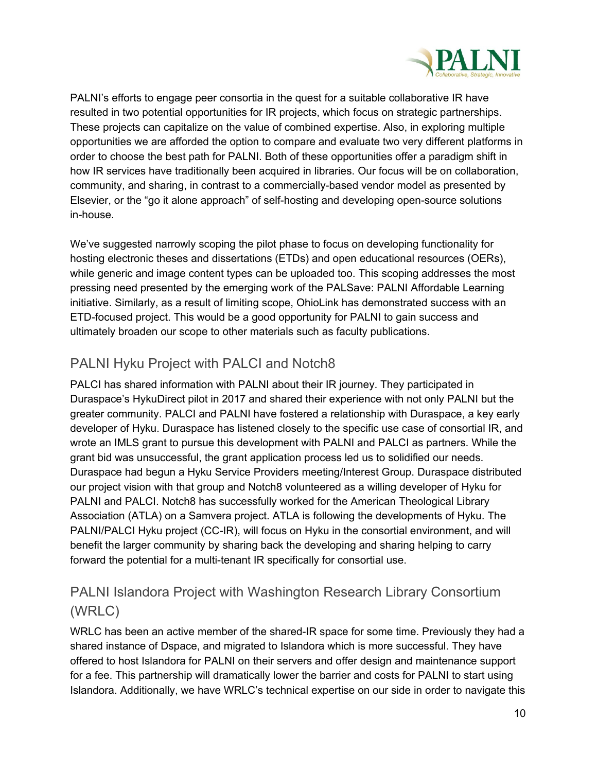

PALNI's efforts to engage peer consortia in the quest for a suitable collaborative IR have resulted in two potential opportunities for IR projects, which focus on strategic partnerships. These projects can capitalize on the value of combined expertise. Also, in exploring multiple opportunities we are afforded the option to compare and evaluate two very different platforms in order to choose the best path for PALNI. Both of these opportunities offer a paradigm shift in how IR services have traditionally been acquired in libraries. Our focus will be on collaboration, community, and sharing, in contrast to a commercially-based vendor model as presented by Elsevier, or the "go it alone approach" of self-hosting and developing open-source solutions in-house.

We've suggested narrowly scoping the pilot phase to focus on developing functionality for hosting electronic theses and dissertations (ETDs) and open educational resources (OERs), while generic and image content types can be uploaded too. This scoping addresses the most pressing need presented by the emerging work of the PALSave: PALNI Affordable Learning initiative. Similarly, as a result of limiting scope, OhioLink has demonstrated success with an ETD-focused project. This would be a good opportunity for PALNI to gain success and ultimately broaden our scope to other materials such as faculty publications.

### PALNI Hyku Project with PALCI and Notch8

PALCI has shared information with PALNI about their IR journey. They participated in Duraspace's HykuDirect pilot in 2017 and shared their experience with not only PALNI but the greater community. PALCI and PALNI have fostered a relationship with Duraspace, a key early developer of Hyku. Duraspace has listened closely to the specific use case of consortial IR, and wrote an IMLS grant to pursue this development with PALNI and PALCI as partners. While the grant bid was unsuccessful, the grant application process led us to solidified our needs. Duraspace had begun a Hyku Service Providers meeting/Interest Group. Duraspace distributed our project vision with that group and Notch8 volunteered as a willing developer of Hyku for PALNI and PALCI. Notch8 has successfully worked for the American Theological Library Association (ATLA) on a Samvera project. ATLA is following the developments of Hyku. The PALNI/PALCI Hyku project (CC-IR), will focus on Hyku in the consortial environment, and will benefit the larger community by sharing back the developing and sharing helping to carry forward the potential for a multi-tenant IR specifically for consortial use.

### PALNI Islandora Project with Washington Research Library Consortium (WRLC)

WRLC has been an active member of the shared-IR space for some time. Previously they had a shared instance of Dspace, and migrated to Islandora which is more successful. They have offered to host Islandora for PALNI on their servers and offer design and maintenance support for a fee. This partnership will dramatically lower the barrier and costs for PALNI to start using Islandora. Additionally, we have WRLC's technical expertise on our side in order to navigate this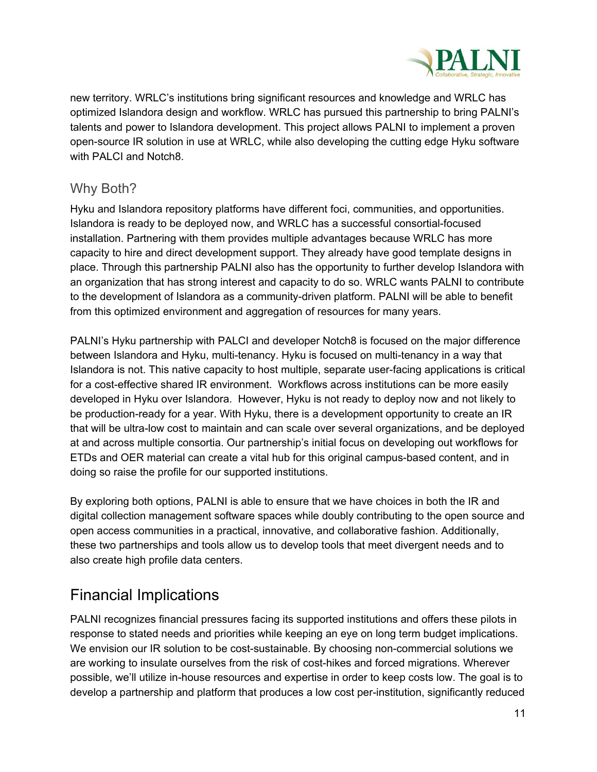

new territory. WRLC's institutions bring significant resources and knowledge and WRLC has optimized Islandora design and workflow. WRLC has pursued this partnership to bring PALNI's talents and power to Islandora development. This project allows PALNI to implement a proven open-source IR solution in use at WRLC, while also developing the cutting edge Hyku software with PALCI and Notch8.

#### <span id="page-10-0"></span>Why Both?

Hyku and Islandora repository platforms have different foci, communities, and opportunities. Islandora is ready to be deployed now, and WRLC has a successful consortial-focused installation. Partnering with them provides multiple advantages because WRLC has more capacity to hire and direct development support. They already have good template designs in place. Through this partnership PALNI also has the opportunity to further develop Islandora with an organization that has strong interest and capacity to do so. WRLC wants PALNI to contribute to the development of Islandora as a community-driven platform. PALNI will be able to benefit from this optimized environment and aggregation of resources for many years.

PALNI's Hyku partnership with PALCI and developer Notch8 is focused on the major difference between Islandora and Hyku, multi-tenancy. Hyku is focused on multi-tenancy in a way that Islandora is not. This native capacity to host multiple, separate user-facing applications is critical for a cost-effective shared IR environment. Workflows across institutions can be more easily developed in Hyku over Islandora. However, Hyku is not ready to deploy now and not likely to be production-ready for a year. With Hyku, there is a development opportunity to create an IR that will be ultra-low cost to maintain and can scale over several organizations, and be deployed at and across multiple consortia. Our partnership's initial focus on developing out workflows for ETDs and OER material can create a vital hub for this original campus-based content, and in doing so raise the profile for our supported institutions.

By exploring both options, PALNI is able to ensure that we have choices in both the IR and digital collection management software spaces while doubly contributing to the open source and open access communities in a practical, innovative, and collaborative fashion. Additionally, these two partnerships and tools allow us to develop tools that meet divergent needs and to also create high profile data centers.

## <span id="page-10-1"></span>Financial Implications

PALNI recognizes financial pressures facing its supported institutions and offers these pilots in response to stated needs and priorities while keeping an eye on long term budget implications. We envision our IR solution to be cost-sustainable. By choosing non-commercial solutions we are working to insulate ourselves from the risk of cost-hikes and forced migrations. Wherever possible, we'll utilize in-house resources and expertise in order to keep costs low. The goal is to develop a partnership and platform that produces a low cost per-institution, significantly reduced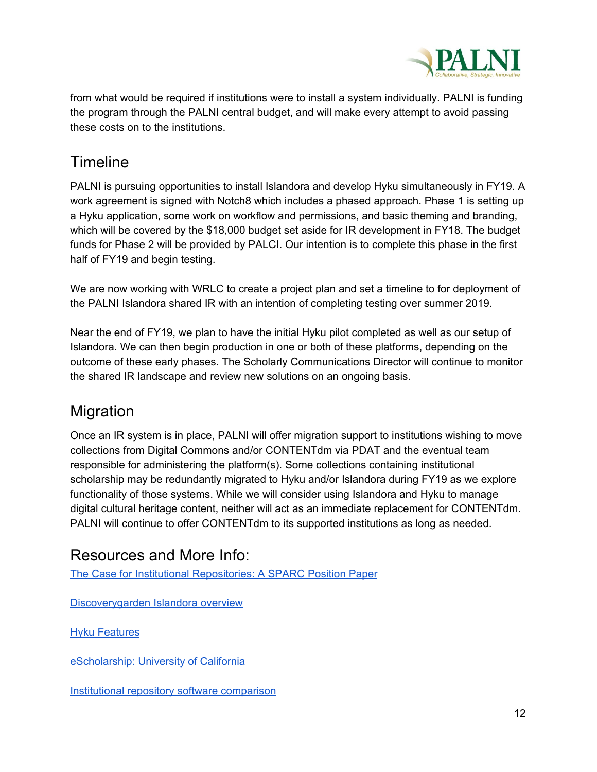

from what would be required if institutions were to install a system individually. PALNI is funding the program through the PALNI central budget, and will make every attempt to avoid passing these costs on to the institutions.

## <span id="page-11-0"></span>Timeline

PALNI is pursuing opportunities to install Islandora and develop Hyku simultaneously in FY19. A work agreement is signed with Notch8 which includes a phased approach. Phase 1 is setting up a Hyku application, some work on workflow and permissions, and basic theming and branding, which will be covered by the \$18,000 budget set aside for IR development in FY18. The budget funds for Phase 2 will be provided by PALCI. Our intention is to complete this phase in the first half of FY19 and begin testing.

We are now working with WRLC to create a project plan and set a timeline to for deployment of the PALNI Islandora shared IR with an intention of completing testing over summer 2019.

Near the end of FY19, we plan to have the initial Hyku pilot completed as well as our setup of Islandora. We can then begin production in one or both of these platforms, depending on the outcome of these early phases. The Scholarly Communications Director will continue to monitor the shared IR landscape and review new solutions on an ongoing basis.

## <span id="page-11-1"></span>Migration

Once an IR system is in place, PALNI will offer migration support to institutions wishing to move collections from Digital Commons and/or CONTENTdm via PDAT and the eventual team responsible for administering the platform(s). Some collections containing institutional scholarship may be redundantly migrated to Hyku and/or Islandora during FY19 as we explore functionality of those systems. While we will consider using Islandora and Hyku to manage digital cultural heritage content, neither will act as an immediate replacement for CONTENTdm. PALNI will continue to offer CONTENTdm to its supported institutions as long as needed.

## Resources and More Info:

The Case for Institutional [Repositories:](http://www.sparc.arl.org/resources/papers-guides/the-case-for-institutional-repositories) A SPARC Position Paper

[Discoverygarden](https://www.discoverygarden.ca/islandora-overview/) Islandora overview

**Hyku [Features](https://wiki.duraspace.org/display/hyku/Hyku+Features)** 

[eScholarship:](https://escholarship.org/) University of California

Institutional repository software [comparison](http://www.unesco.org/new/en/communication-and-information/resources/publications-and-communication-materials/publications/full-list/institutional-repository-software-comparison/)